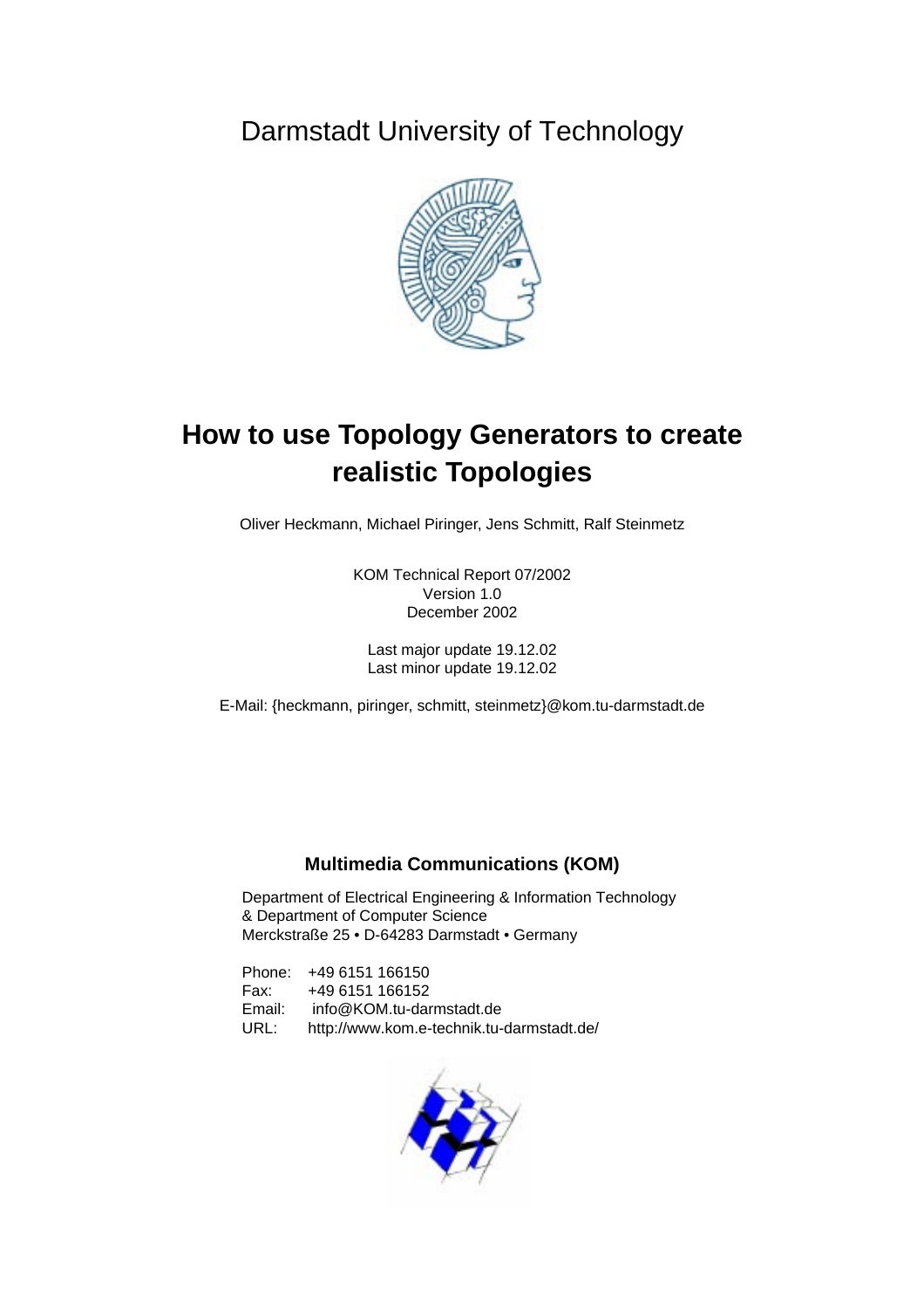Darmstadt University of Technology



# **How to use Topology Generators to create realistic Topologies**

Oliver Heckmann, Michael Piringer, Jens Schmitt, Ralf Steinmetz

KOM Technical Report 07/2002 Version 1.0 December 2002

Last major update 19.12.02 Last minor update 19.12.02

E-Mail: {heckmann, piringer, schmitt, steinmetz}@kom.tu-darmstadt.de

# **Multimedia Communications (KOM)**

Department of Electrical Engineering & Information Technology & Department of Computer Science Merckstraße 25 • D-64283 Darmstadt • Germany

Phone: +49 6151 166150 Fax: +49 6151 166152 Email: info@KOM.tu-darmstadt.de URL: http://www.kom.e-technik.tu-darmstadt.de/

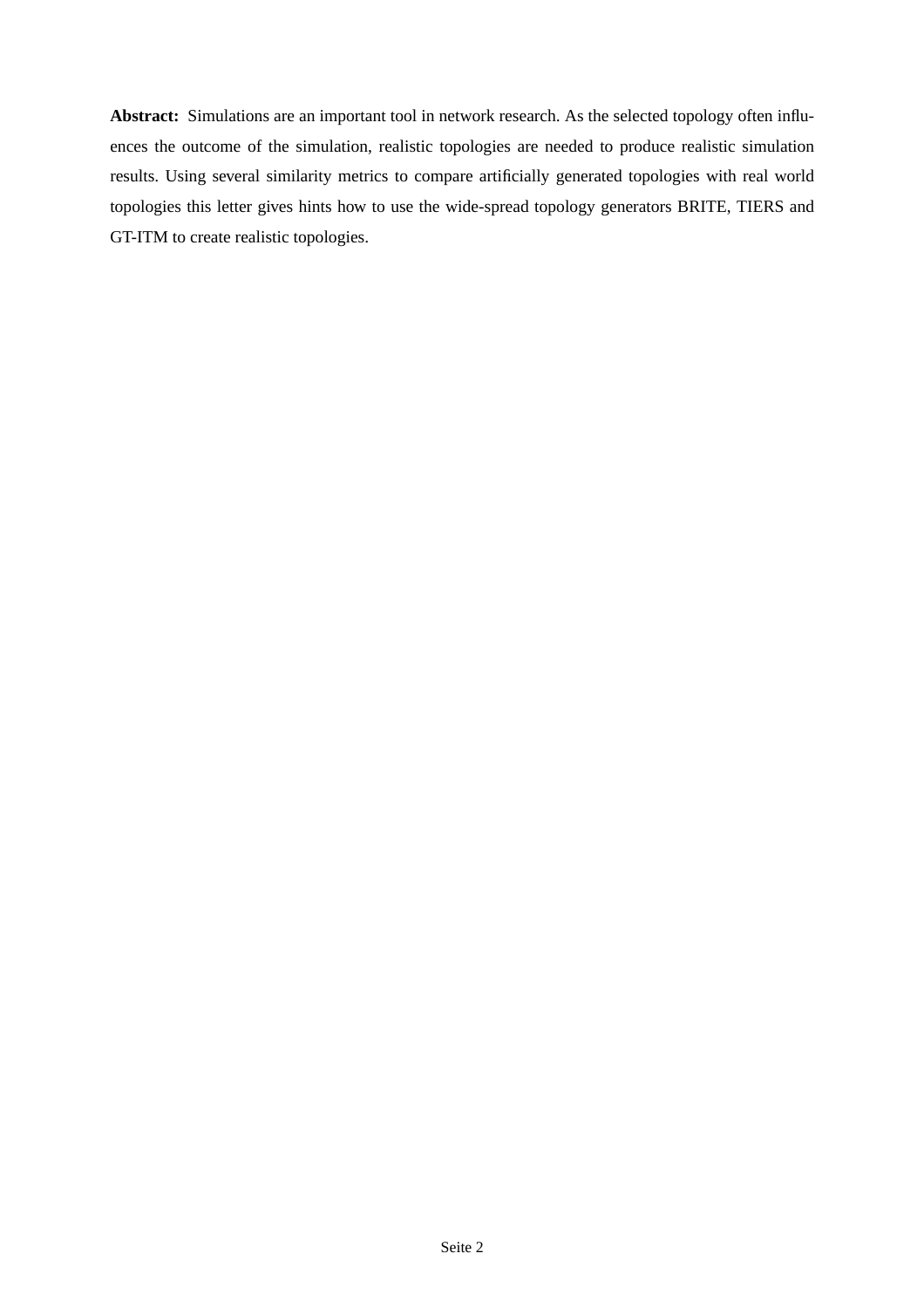**Abstract:** Simulations are an important tool in network research. As the selected topology often influences the outcome of the simulation, realistic topologies are needed to produce realistic simulation results. Using several similarity metrics to compare artificially generated topologies with real world topologies this letter gives hints how to use the wide-spread topology generators BRITE, TIERS and GT-ITM to create realistic topologies.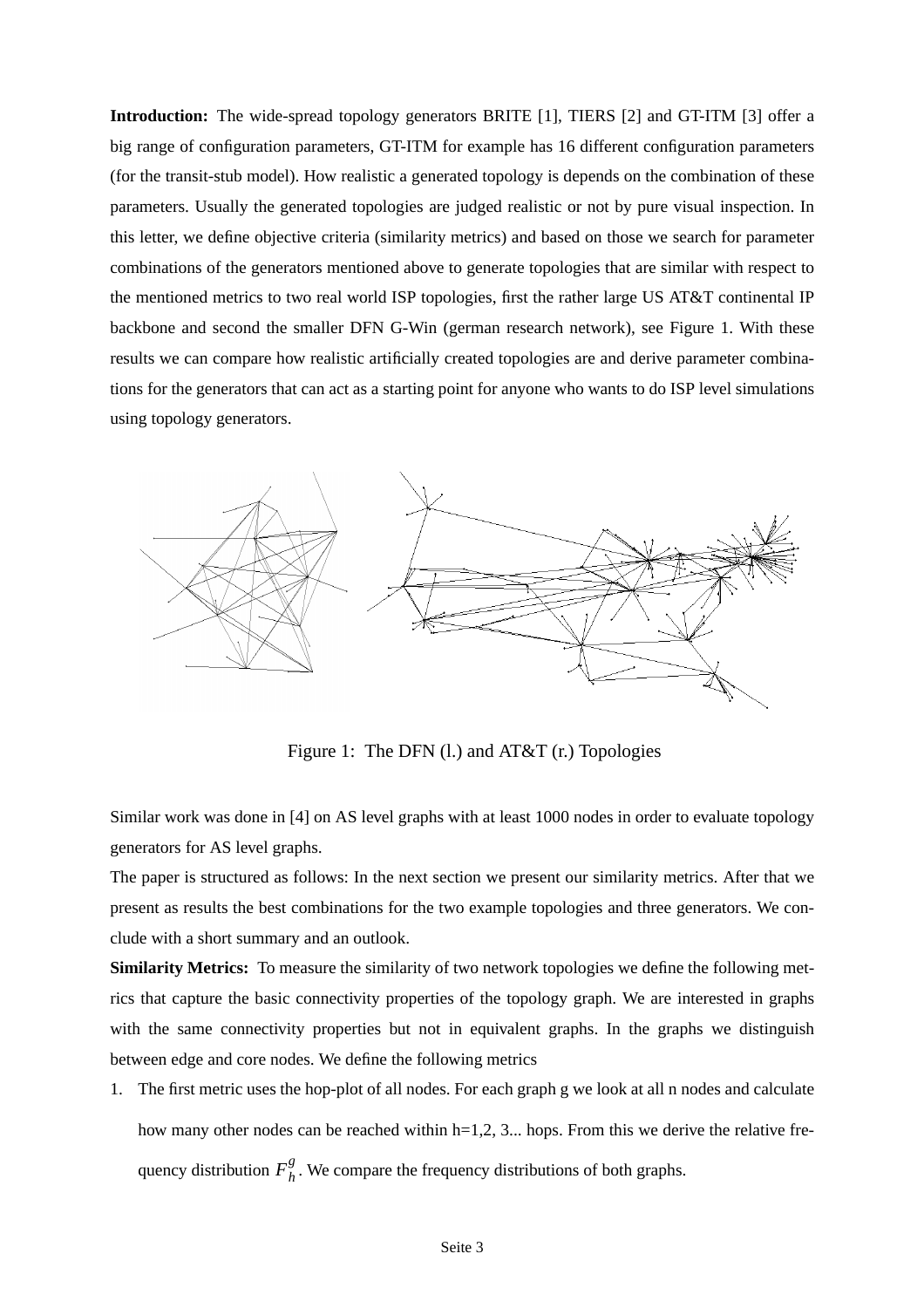**Introduction:** The wide-spread topology generators BRITE [1], TIERS [2] and GT-ITM [3] offer a big range of configuration parameters, GT-ITM for example has 16 different configuration parameters (for the transit-stub model). How realistic a generated topology is depends on the combination of these parameters. Usually the generated topologies are judged realistic or not by pure visual inspection. In this letter, we define objective criteria (similarity metrics) and based on those we search for parameter combinations of the generators mentioned above to generate topologies that are similar with respect to the mentioned metrics to two real world ISP topologies, first the rather large US AT&T continental IP backbone and second the smaller DFN G-Win (german research network), see Figure 1. With these results we can compare how realistic artificially created topologies are and derive parameter combinations for the generators that can act as a starting point for anyone who wants to do ISP level simulations using topology generators.



Figure 1: The DFN (l.) and AT&T (r.) Topologies

Similar work was done in [4] on AS level graphs with at least 1000 nodes in order to evaluate topology generators for AS level graphs.

The paper is structured as follows: In the next section we present our similarity metrics. After that we present as results the best combinations for the two example topologies and three generators. We conclude with a short summary and an outlook.

**Similarity Metrics:** To measure the similarity of two network topologies we define the following metrics that capture the basic connectivity properties of the topology graph. We are interested in graphs with the same connectivity properties but not in equivalent graphs. In the graphs we distinguish between edge and core nodes. We define the following metrics

1. The first metric uses the hop-plot of all nodes. For each graph g we look at all n nodes and calculate how many other nodes can be reached within  $h=1,2, 3...$  hops. From this we derive the relative frequency distribution  $F_h^g$ . We compare the frequency distributions of both graphs.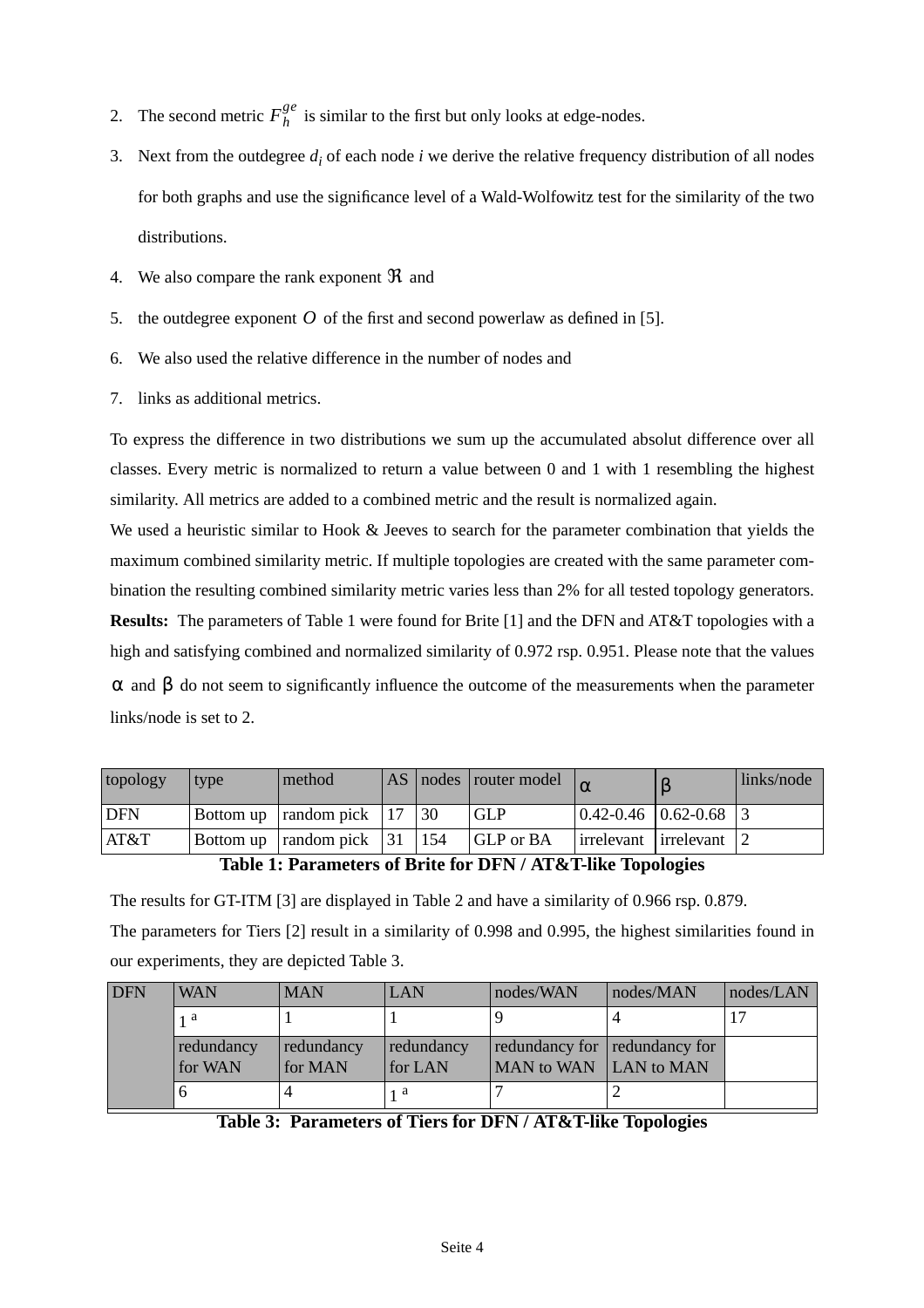- 2. The second metric  $F_h^{ge}$  is similar to the first but only looks at edge-nodes.
- 3. Next from the outdegree  $d_i$  of each node  $i$  we derive the relative frequency distribution of all nodes for both graphs and use the significance level of a Wald-Wolfowitz test for the similarity of the two distributions.
- 4. We also compare the rank exponent  $\Re$  and
- 5. the outdegree exponent  $O$  of the first and second powerlaw as defined in [5].
- 6. We also used the relative difference in the number of nodes and
- 7. links as additional metrics.

To express the difference in two distributions we sum up the accumulated absolut difference over all classes. Every metric is normalized to return a value between 0 and 1 with 1 resembling the highest similarity. All metrics are added to a combined metric and the result is normalized again.

We used a heuristic similar to Hook & Jeeves to search for the parameter combination that yields the maximum combined similarity metric. If multiple topologies are created with the same parameter combination the resulting combined similarity metric varies less than 2% for all tested topology generators. **Results:** The parameters of Table 1 were found for Brite [1] and the DFN and AT&T topologies with a high and satisfying combined and normalized similarity of 0.972 rsp. 0.951. Please note that the values  $\alpha$  and  $\beta$  do not seem to significantly influence the outcome of the measurements when the parameter links/node is set to 2.

| topology   | type | method                               |  | AS nodes router model |                                               | links/node |
|------------|------|--------------------------------------|--|-----------------------|-----------------------------------------------|------------|
| <b>DFN</b> |      | Bottom up $ $ random pick $ 17 $ 30  |  | <b>GLP</b>            | $\vert 0.42 - 0.46 \vert 0.62 - 0.68 \vert 3$ |            |
| AT&T       |      | Bottom up $ $ random pick $ 31 $ 154 |  | <b>GLP</b> or BA      | irrelevant irrelevant 2                       |            |

## **Table 1: Parameters of Brite for DFN / AT&T-like Topologies**

The results for GT-ITM [3] are displayed in Ta[ble 2 and](#page-4-0) have a similarity of 0.966 rsp. 0.879. The parameters for Tiers [2] result in a similarity of 0.998 and 0.995, the highest similarities found in our experiments, they are depicted Table 3.

| <b>DFN</b> | <b>WAN</b> | <b>MAN</b> | LAN        | nodes/WAN                     | nodes/MAN | nodes/LAN |
|------------|------------|------------|------------|-------------------------------|-----------|-----------|
|            | 1 a        |            |            |                               |           |           |
|            | redundancy | redundancy | redundancy | redundancy for redundancy for |           |           |
|            | for WAN    | for MAN    | for LAN    | MAN to WAN LAN to MAN         |           |           |
|            |            |            | 1 a        |                               |           |           |

**Table 3: Parameters of Tiers for DFN / AT&T-like Topologies**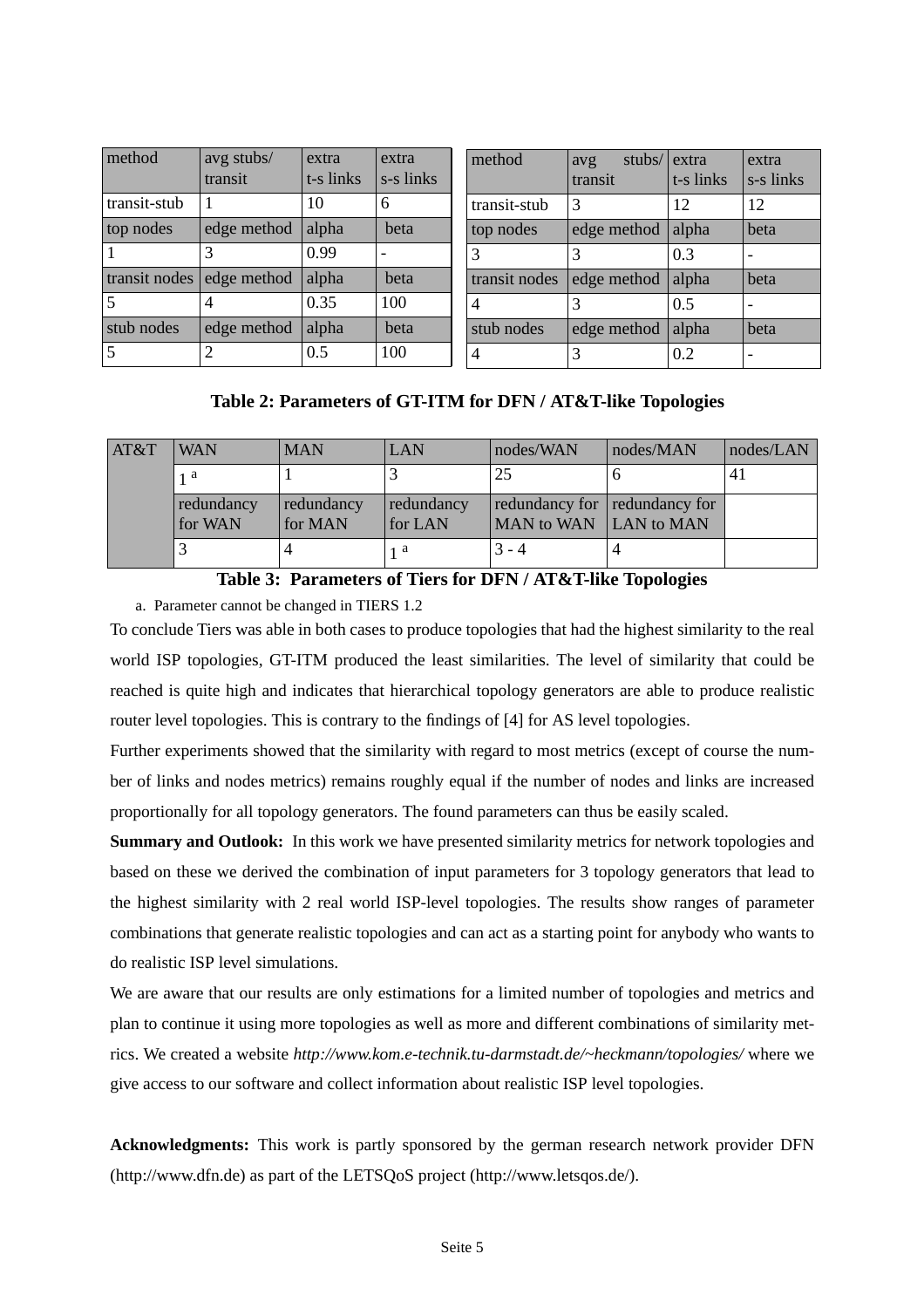<span id="page-4-0"></span>

| method        | avg stubs/<br>transit | extra<br>t-s links | extra<br>s-s links | method         | stubs/ extra<br>avg<br>transit | t-s links        | extra<br>s-s links       |
|---------------|-----------------------|--------------------|--------------------|----------------|--------------------------------|------------------|--------------------------|
| transit-stub  | -1                    | 10                 | 6                  | transit-stub   | 3                              | 12               | 12                       |
| top nodes     | edge method           | alpha              | beta               | top nodes      | edge method                    | alpha            | beta                     |
|               |                       | 0.99               |                    | 3              |                                | 0.3              | $\overline{\phantom{0}}$ |
| transit nodes | edge method           | alpha              | beta               | transit nodes  | edge method                    | alpha            | beta                     |
|               | 4                     | 0.35               | 100                | $\overline{4}$ |                                | 10.5             | $\overline{\phantom{0}}$ |
| stub nodes    | edge method           | alpha              | beta               | stub nodes     | edge method                    | alpha            | beta                     |
|               |                       | 0.5                | 100                | 4              |                                | $\overline{0.2}$ | $\overline{\phantom{0}}$ |

#### **Table 2: Parameters of GT-ITM for DFN / AT&T-like Topologies**

| AT&T | <b>WAN</b> | <b>MAN</b> | LAN        | nodes/WAN                     | nodes/MAN | nodes/LAN |
|------|------------|------------|------------|-------------------------------|-----------|-----------|
|      | 1 a        |            |            | 25                            |           | 41        |
|      | redundancy | redundancy | redundancy | redundancy for redundancy for |           |           |
|      | for WAN    | for MAN    | for LAN    | MAN to WAN LAN to MAN         |           |           |
|      |            |            | 1 a        | $3 - 4$                       |           |           |

#### **Table 3: Parameters of Tiers for DFN / AT&T-like Topologies**

a. Parameter cannot be changed in TIERS 1.2

To conclude Tiers was able in both cases to produce topologies that had the highest similarity to the real world ISP topologies, GT-ITM produced the least similarities. The level of similarity that could be reached is quite high and indicates that hierarchical topology generators are able to produce realistic router level topologies. This is contrary to the findings of [4] for AS level topologies.

Further experiments showed that the similarity with regard to most metrics (except of course the number of links and nodes metrics) remains roughly equal if the number of nodes and links are increased proportionally for all topology generators. The found parameters can thus be easily scaled.

**Summary and Outlook:** In this work we have presented similarity metrics for network topologies and based on these we derived the combination of input parameters for 3 topology generators that lead to the highest similarity with 2 real world ISP-level topologies. The results show ranges of parameter combinations that generate realistic topologies and can act as a starting point for anybody who wants to do realistic ISP level simulations.

We are aware that our results are only estimations for a limited number of topologies and metrics and plan to continue it using more topologies as well as more and different combinations of similarity metrics. We created a website *http://www.kom.e-technik.tu-darmstadt.de/~heckmann/topologies/* where we give access to our software and collect information about realistic ISP level topologies.

**Acknowledgments:** This work is partly sponsored by the german research network provider DFN (http://www.dfn.de) as part of the LETSQoS project (http://www.letsqos.de/).